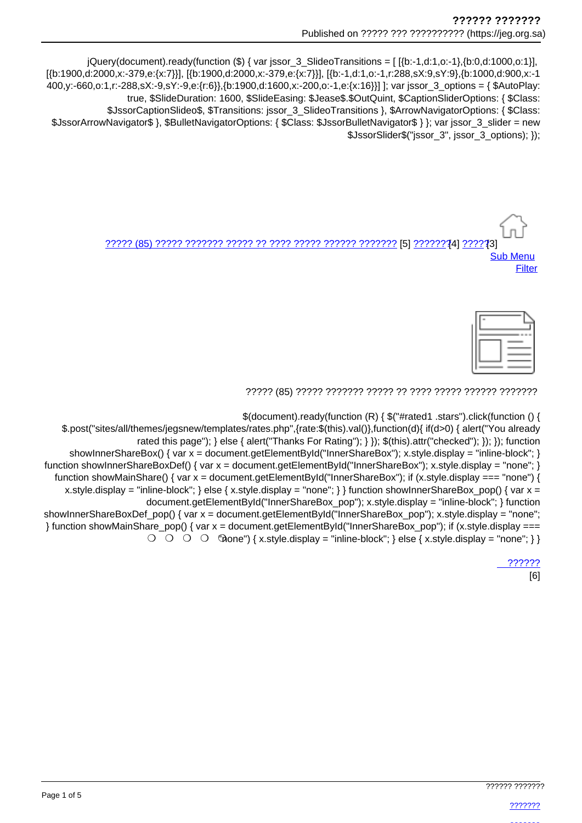jQuery(document).ready(function (\$) { var jssor\_3\_SlideoTransitions = [[{b:-1,d:1,o:-1},{b:0,d:1000,o:1}], [{b:1900.d:2000.x:-379.e:{x:7}}], [{b:1900.d:2000.x:-379.e:{x:7}}], [{b:-1.d:1.o:-1.r:288.sX:9.sY:9}, {b:1000.d:900.x:-1 400,y:-660,o:1,r:-288,sX:-9,sY:-9,e:{r:6}},{b:1900,d:1600,x:-200,o:-1,e:{x:16}}] ]; var jssor\_3\_options = { \$AutoPlay: true, \$SlideDuration: 1600, \$SlideEasing: \$Jease\$.\$OutQuint, \$CaptionSliderOptions: { \$Class: \$JssorCaptionSlideo\$, \$Transitions: jssor\_3\_SlideoTransitions }, \$ArrowNavigatorOptions: { \$Class: \$JssorArrowNavigator\$ }, \$BulletNavigatorOptions: { \$Class: \$JssorBulletNavigator\$ } }; var jssor\_3\_slider = new \$JssorSlider\$("jssor 3", jssor 3 options); });

> <u>22222 (85) 22222 2223222 22222 22222 22222 22222 22223 22223 [5] 222223 [5] 2222</u> **Sub Menu** Filter

| - |  |
|---|--|
| ۰ |  |

\$(document).ready(function (R) { \$("#rated1 .stars").click(function () {

\$.post("sites/all/themes/jegsnew/templates/rates.php",{rate:\$(this).val()},function(d){ if(d>0) { alert("You already rated this page"); } else { alert("Thanks For Rating"); } }); \$(this).attr("checked"); }); }); function showInnerShareBox() { var  $x =$  document.getElementById("InnerShareBox"); x.style.display = "inline-block"; } function showInnerShareBoxDef() { var x = document.getElementById("InnerShareBox"); x.style.display = "none"; } function showMainShare() { var  $x =$  document.getElementById("InnerShareBox"): if (x.style.display === "none") { x.style.display = "inline-block"; } else { x.style.display = "none"; } } function show lnnerShareBox\_pop() { var x = document.getElementById("InnerShareBox pop"); x.style.display = "inline-block"; } function showInnerShareBoxDef pop() { var x = document.getElementById("InnerShareBox pop"); x.style.display = "none"; } function showMainShare\_pop() { var x = document.getElementById("InnerShareBox\_pop"); if (x.style.display ===  $\bigcirc$   $\bigcirc$   $\bigcirc$   $\bigcirc$   $\bigcirc$   $\bigcirc$   $\bigcirc$   $\bigcirc$   $\bigcirc$   $\bigcirc$   $\bigcirc$   $\bigcirc$   $\bigcirc$   $\bigcirc$   $\bigcirc$   $\bigcirc$   $\bigcirc$   $\bigcirc$   $\bigcirc$   $\bigcirc$   $\bigcirc$   $\bigcirc$   $\bigcirc$   $\bigcirc$   $\bigcirc$   $\bigcirc$   $\bigcirc$   $\bigcirc$   $\bigcirc$   $\bigcirc$   $\bigcirc$   $\bigcirc$   $\bigcirc$   $\bigcirc$   $\bigcirc$   $\bigcirc$   $\bigcirc$ 

222222

 $[6]$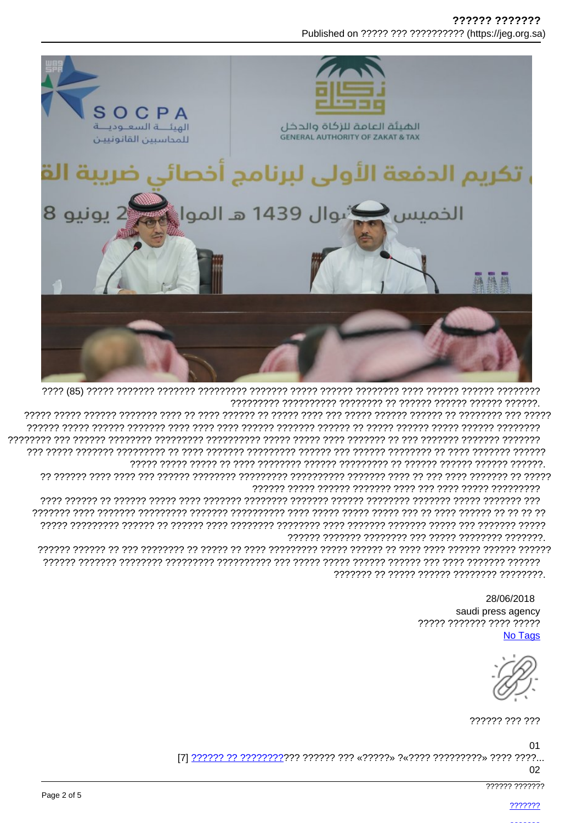777777 7777777 Published on ????? ??? ??????????? (https://jeg.org.sa)



> 28/06/2018 saudi press agency ????? ??????? ???? ????? **No Tags**

?????? ??? ???

01 

02

777777 7777777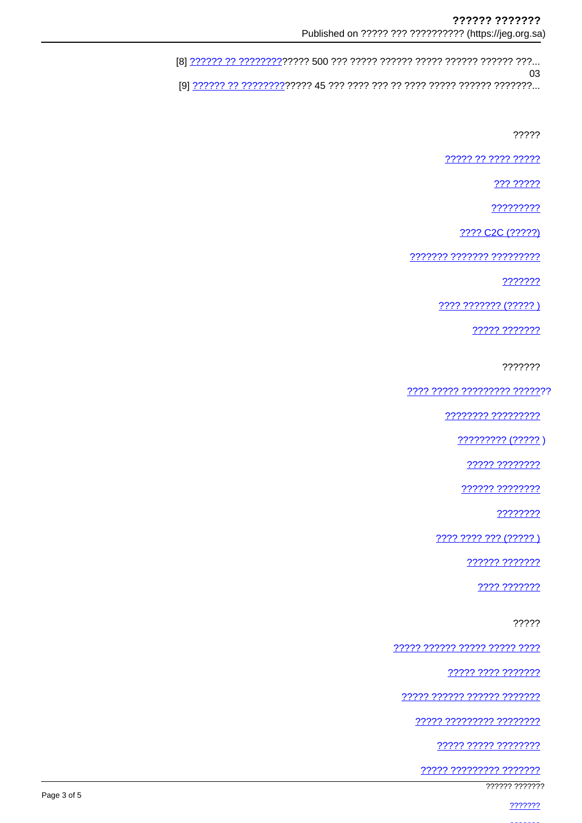181 ..?????? ????????????????? 500 ??? ????? ?????? ?????? ?????? ???...  $0<sub>3</sub>$ 

?????

????? ?? ???? ?????

??? ?????

?????????

???? C2C (?????)

7777777 7777777 777777777

???????

**???? ??????? (?????)** 

????? ???????

???????

???? ????? ????????? ???????

77777777 777777777

????????? (????? )

22222 22222222

?????? ????????

????????

???? ???? ??? (????? )

?????? ???????

???? ???????

?????

????? ?????? ????? ????? ????

????? ???? ???????

????? ?????? ?????? ???????

????? ????????? ????????

????? ????? ????????

<u>????? ????????? ???????</u>

777777 777777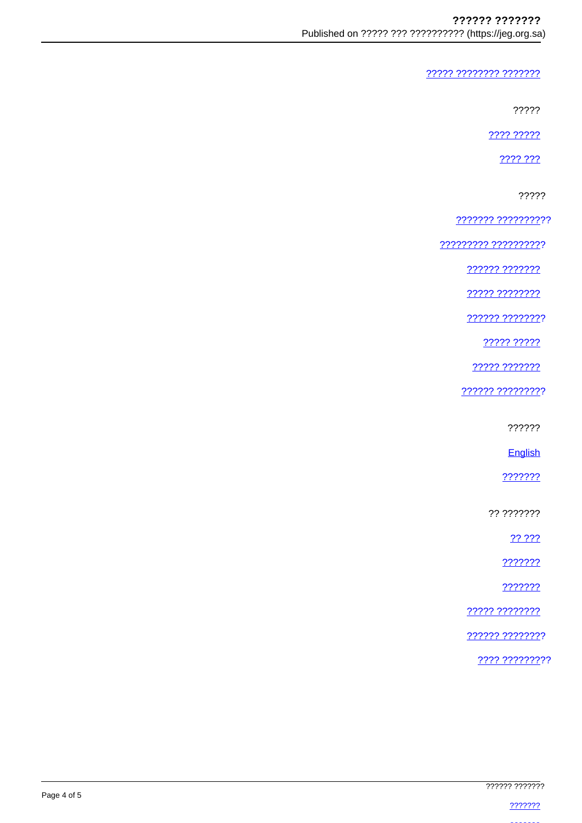????? ???????? ???????

?????

???? ?????

2222.222

?????

??????? ??????????

????????? ??????????

222222 2222222

22222 22222222

222222 22222222

????? ?????

????? ???????

?????? ?????????

??????

English

???????

?? ???????

?? ???

???????

???????

22222 22222222

?????? ????????

???? ?????????

|             | ?????? ??????? |
|-------------|----------------|
| Page 4 of 5 |                |
|             |                |
|             |                |